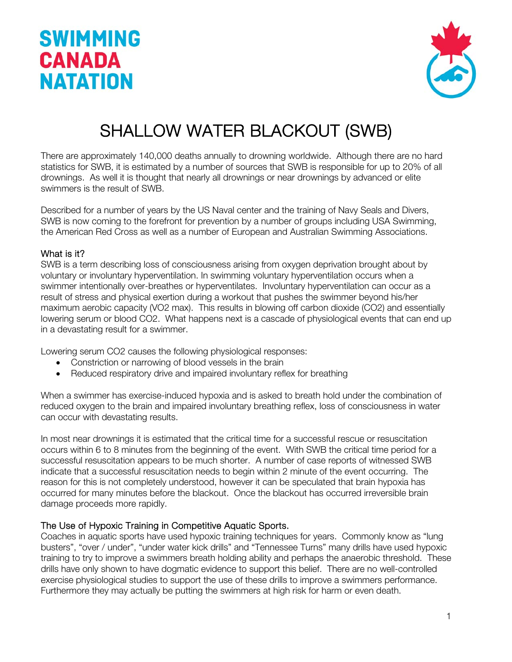



## SHALLOW WATER BLACKOUT (SWB)

There are approximately 140,000 deaths annually to drowning worldwide. Although there are no hard statistics for SWB, it is estimated by a number of sources that SWB is responsible for up to 20% of all drownings. As well it is thought that nearly all drownings or near drownings by advanced or elite swimmers is the result of SWB.

Described for a number of years by the US Naval center and the training of Navy Seals and Divers, SWB is now coming to the forefront for prevention by a number of groups including USA Swimming, the American Red Cross as well as a number of European and Australian Swimming Associations.

### What is it?

SWB is a term describing loss of consciousness arising from oxygen deprivation brought about by voluntary or involuntary hyperventilation. In swimming voluntary hyperventilation occurs when a swimmer intentionally over-breathes or hyperventilates. Involuntary hyperventilation can occur as a result of stress and physical exertion during a workout that pushes the swimmer beyond his/her maximum aerobic capacity (VO2 max). This results in blowing off carbon dioxide (CO2) and essentially lowering serum or blood CO2. What happens next is a cascade of physiological events that can end up in a devastating result for a swimmer.

Lowering serum CO2 causes the following physiological responses:

- Constriction or narrowing of blood vessels in the brain
- Reduced respiratory drive and impaired involuntary reflex for breathing

When a swimmer has exercise-induced hypoxia and is asked to breath hold under the combination of reduced oxygen to the brain and impaired involuntary breathing reflex, loss of consciousness in water can occur with devastating results.

In most near drownings it is estimated that the critical time for a successful rescue or resuscitation occurs within 6 to 8 minutes from the beginning of the event. With SWB the critical time period for a successful resuscitation appears to be much shorter. A number of case reports of witnessed SWB indicate that a successful resuscitation needs to begin within 2 minute of the event occurring. The reason for this is not completely understood, however it can be speculated that brain hypoxia has occurred for many minutes before the blackout. Once the blackout has occurred irreversible brain damage proceeds more rapidly.

### The Use of Hypoxic Training in Competitive Aquatic Sports.

Coaches in aquatic sports have used hypoxic training techniques for years. Commonly know as "lung busters", "over / under", "under water kick drills" and "Tennessee Turns" many drills have used hypoxic training to try to improve a swimmers breath holding ability and perhaps the anaerobic threshold. These drills have only shown to have dogmatic evidence to support this belief. There are no well-controlled exercise physiological studies to support the use of these drills to improve a swimmers performance. Furthermore they may actually be putting the swimmers at high risk for harm or even death.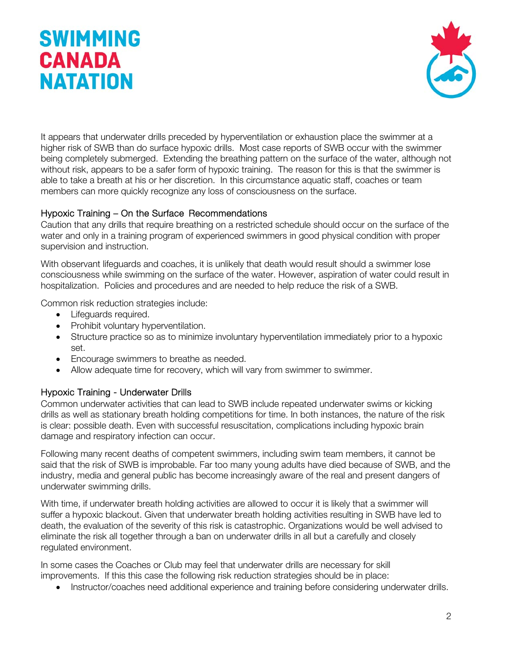# **SWIMMING CANADA NATATION**



It appears that underwater drills preceded by hyperventilation or exhaustion place the swimmer at a higher risk of SWB than do surface hypoxic drills. Most case reports of SWB occur with the swimmer being completely submerged. Extending the breathing pattern on the surface of the water, although not without risk, appears to be a safer form of hypoxic training. The reason for this is that the swimmer is able to take a breath at his or her discretion. In this circumstance aquatic staff, coaches or team members can more quickly recognize any loss of consciousness on the surface.

## Hypoxic Training – On the Surface Recommendations

Caution that any drills that require breathing on a restricted schedule should occur on the surface of the water and only in a training program of experienced swimmers in good physical condition with proper supervision and instruction.

With observant lifeguards and coaches, it is unlikely that death would result should a swimmer lose consciousness while swimming on the surface of the water. However, aspiration of water could result in hospitalization. Policies and procedures and are needed to help reduce the risk of a SWB.

Common risk reduction strategies include:

- Lifeguards required.
- Prohibit voluntary hyperventilation.
- Structure practice so as to minimize involuntary hyperventilation immediately prior to a hypoxic set.
- Encourage swimmers to breathe as needed.
- Allow adequate time for recovery, which will vary from swimmer to swimmer.

### Hypoxic Training - Underwater Drills

Common underwater activities that can lead to SWB include repeated underwater swims or kicking drills as well as stationary breath holding competitions for time. In both instances, the nature of the risk is clear: possible death. Even with successful resuscitation, complications including hypoxic brain damage and respiratory infection can occur.

Following many recent deaths of competent swimmers, including swim team members, it cannot be said that the risk of SWB is improbable. Far too many young adults have died because of SWB, and the industry, media and general public has become increasingly aware of the real and present dangers of underwater swimming drills.

With time, if underwater breath holding activities are allowed to occur it is likely that a swimmer will suffer a hypoxic blackout. Given that underwater breath holding activities resulting in SWB have led to death, the evaluation of the severity of this risk is catastrophic. Organizations would be well advised to eliminate the risk all together through a ban on underwater drills in all but a carefully and closely regulated environment.

In some cases the Coaches or Club may feel that underwater drills are necessary for skill improvements. If this this case the following risk reduction strategies should be in place:

• Instructor/coaches need additional experience and training before considering underwater drills.